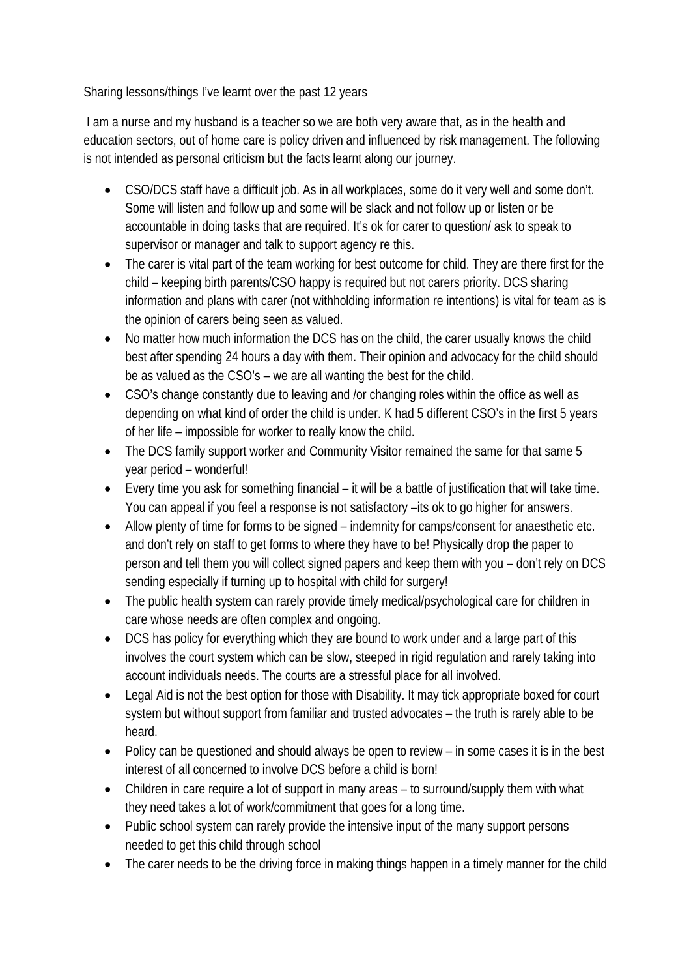Sharing lessons/things I've learnt over the past 12 years

 I am a nurse and my husband is a teacher so we are both very aware that, as in the health and education sectors, out of home care is policy driven and influenced by risk management. The following is not intended as personal criticism but the facts learnt along our journey.

- CSO/DCS staff have a difficult job. As in all workplaces, some do it very well and some don't. Some will listen and follow up and some will be slack and not follow up or listen or be accountable in doing tasks that are required. It's ok for carer to question/ ask to speak to supervisor or manager and talk to support agency re this.
- The carer is vital part of the team working for best outcome for child. They are there first for the child – keeping birth parents/CSO happy is required but not carers priority. DCS sharing information and plans with carer (not withholding information re intentions) is vital for team as is the opinion of carers being seen as valued.
- No matter how much information the DCS has on the child, the carer usually knows the child best after spending 24 hours a day with them. Their opinion and advocacy for the child should be as valued as the CSO's – we are all wanting the best for the child.
- CSO's change constantly due to leaving and /or changing roles within the office as well as depending on what kind of order the child is under. K had 5 different CSO's in the first 5 years of her life – impossible for worker to really know the child.
- The DCS family support worker and Community Visitor remained the same for that same 5 year period – wonderful!
- Every time you ask for something financial it will be a battle of justification that will take time. You can appeal if you feel a response is not satisfactory –its ok to go higher for answers.
- Allow plenty of time for forms to be signed indemnity for camps/consent for anaesthetic etc. and don't rely on staff to get forms to where they have to be! Physically drop the paper to person and tell them you will collect signed papers and keep them with you – don't rely on DCS sending especially if turning up to hospital with child for surgery!
- The public health system can rarely provide timely medical/psychological care for children in care whose needs are often complex and ongoing.
- DCS has policy for everything which they are bound to work under and a large part of this involves the court system which can be slow, steeped in rigid regulation and rarely taking into account individuals needs. The courts are a stressful place for all involved.
- Legal Aid is not the best option for those with Disability. It may tick appropriate boxed for court system but without support from familiar and trusted advocates – the truth is rarely able to be heard.
- Policy can be questioned and should always be open to review in some cases it is in the best interest of all concerned to involve DCS before a child is born!
- Children in care require a lot of support in many areas to surround/supply them with what they need takes a lot of work/commitment that goes for a long time.
- Public school system can rarely provide the intensive input of the many support persons needed to get this child through school
- The carer needs to be the driving force in making things happen in a timely manner for the child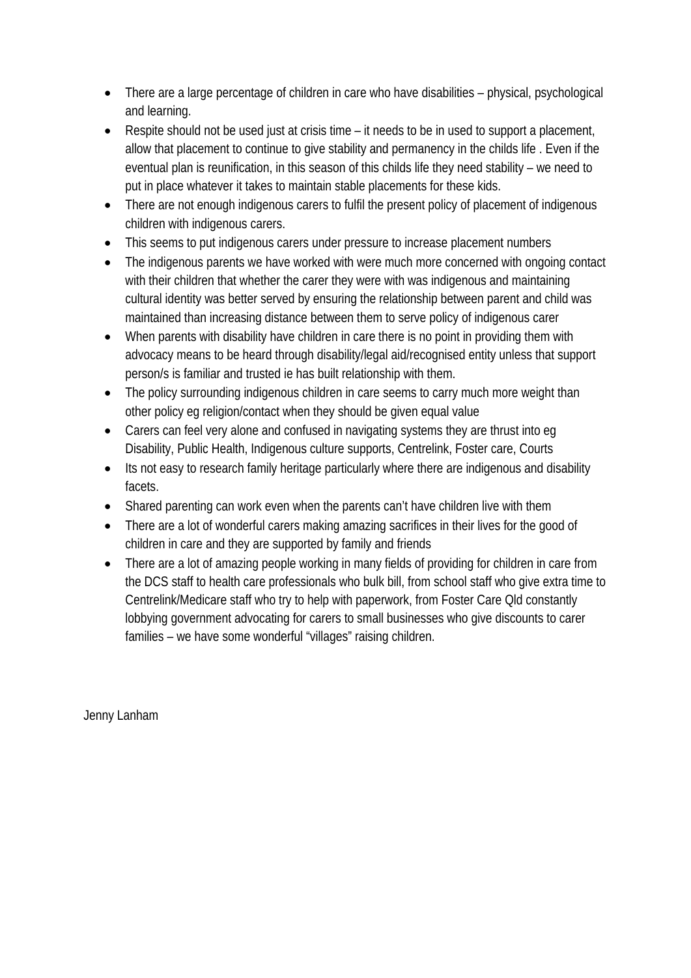- There are a large percentage of children in care who have disabilities physical, psychological and learning.
- Respite should not be used just at crisis time it needs to be in used to support a placement, allow that placement to continue to give stability and permanency in the childs life . Even if the eventual plan is reunification, in this season of this childs life they need stability – we need to put in place whatever it takes to maintain stable placements for these kids.
- There are not enough indigenous carers to fulfil the present policy of placement of indigenous children with indigenous carers.
- This seems to put indigenous carers under pressure to increase placement numbers
- The indigenous parents we have worked with were much more concerned with ongoing contact with their children that whether the carer they were with was indigenous and maintaining cultural identity was better served by ensuring the relationship between parent and child was maintained than increasing distance between them to serve policy of indigenous carer
- When parents with disability have children in care there is no point in providing them with advocacy means to be heard through disability/legal aid/recognised entity unless that support person/s is familiar and trusted ie has built relationship with them.
- The policy surrounding indigenous children in care seems to carry much more weight than other policy eg religion/contact when they should be given equal value
- Carers can feel very alone and confused in navigating systems they are thrust into eg Disability, Public Health, Indigenous culture supports, Centrelink, Foster care, Courts
- Its not easy to research family heritage particularly where there are indigenous and disability facets.
- Shared parenting can work even when the parents can't have children live with them
- There are a lot of wonderful carers making amazing sacrifices in their lives for the good of children in care and they are supported by family and friends
- There are a lot of amazing people working in many fields of providing for children in care from the DCS staff to health care professionals who bulk bill, from school staff who give extra time to Centrelink/Medicare staff who try to help with paperwork, from Foster Care Qld constantly lobbying government advocating for carers to small businesses who give discounts to carer families – we have some wonderful "villages" raising children.

Jenny Lanham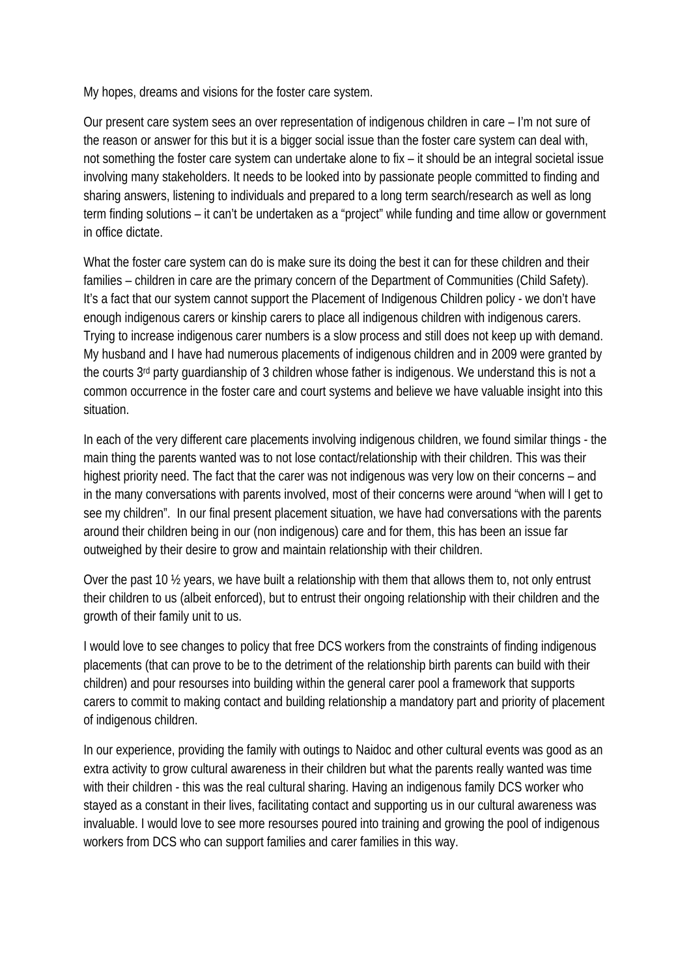My hopes, dreams and visions for the foster care system.

Our present care system sees an over representation of indigenous children in care – I'm not sure of the reason or answer for this but it is a bigger social issue than the foster care system can deal with, not something the foster care system can undertake alone to fix – it should be an integral societal issue involving many stakeholders. It needs to be looked into by passionate people committed to finding and sharing answers, listening to individuals and prepared to a long term search/research as well as long term finding solutions – it can't be undertaken as a "project" while funding and time allow or government in office dictate.

What the foster care system can do is make sure its doing the best it can for these children and their families – children in care are the primary concern of the Department of Communities (Child Safety). It's a fact that our system cannot support the Placement of Indigenous Children policy - we don't have enough indigenous carers or kinship carers to place all indigenous children with indigenous carers. Trying to increase indigenous carer numbers is a slow process and still does not keep up with demand. My husband and I have had numerous placements of indigenous children and in 2009 were granted by the courts 3rd party guardianship of 3 children whose father is indigenous. We understand this is not a common occurrence in the foster care and court systems and believe we have valuable insight into this situation.

In each of the very different care placements involving indigenous children, we found similar things - the main thing the parents wanted was to not lose contact/relationship with their children. This was their highest priority need. The fact that the carer was not indigenous was very low on their concerns – and in the many conversations with parents involved, most of their concerns were around "when will I get to see my children". In our final present placement situation, we have had conversations with the parents around their children being in our (non indigenous) care and for them, this has been an issue far outweighed by their desire to grow and maintain relationship with their children.

Over the past 10 ½ years, we have built a relationship with them that allows them to, not only entrust their children to us (albeit enforced), but to entrust their ongoing relationship with their children and the growth of their family unit to us.

I would love to see changes to policy that free DCS workers from the constraints of finding indigenous placements (that can prove to be to the detriment of the relationship birth parents can build with their children) and pour resourses into building within the general carer pool a framework that supports carers to commit to making contact and building relationship a mandatory part and priority of placement of indigenous children.

In our experience, providing the family with outings to Naidoc and other cultural events was good as an extra activity to grow cultural awareness in their children but what the parents really wanted was time with their children - this was the real cultural sharing. Having an indigenous family DCS worker who stayed as a constant in their lives, facilitating contact and supporting us in our cultural awareness was invaluable. I would love to see more resourses poured into training and growing the pool of indigenous workers from DCS who can support families and carer families in this way.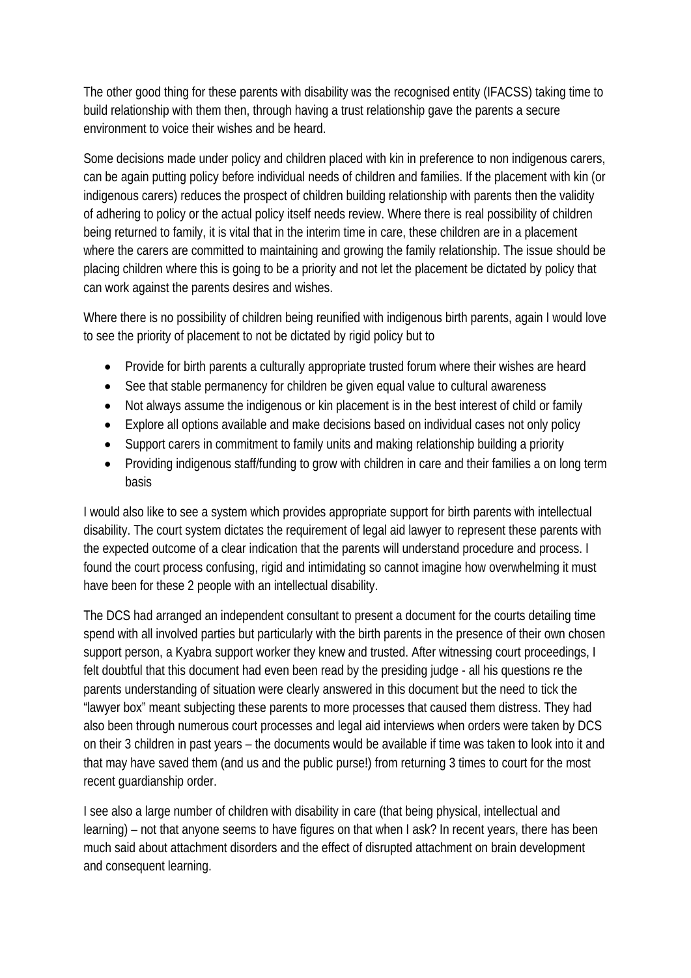The other good thing for these parents with disability was the recognised entity (IFACSS) taking time to build relationship with them then, through having a trust relationship gave the parents a secure environment to voice their wishes and be heard.

Some decisions made under policy and children placed with kin in preference to non indigenous carers, can be again putting policy before individual needs of children and families. If the placement with kin (or indigenous carers) reduces the prospect of children building relationship with parents then the validity of adhering to policy or the actual policy itself needs review. Where there is real possibility of children being returned to family, it is vital that in the interim time in care, these children are in a placement where the carers are committed to maintaining and growing the family relationship. The issue should be placing children where this is going to be a priority and not let the placement be dictated by policy that can work against the parents desires and wishes.

Where there is no possibility of children being reunified with indigenous birth parents, again I would love to see the priority of placement to not be dictated by rigid policy but to

- Provide for birth parents a culturally appropriate trusted forum where their wishes are heard
- See that stable permanency for children be given equal value to cultural awareness
- Not always assume the indigenous or kin placement is in the best interest of child or family
- Explore all options available and make decisions based on individual cases not only policy
- Support carers in commitment to family units and making relationship building a priority
- Providing indigenous staff/funding to grow with children in care and their families a on long term basis

I would also like to see a system which provides appropriate support for birth parents with intellectual disability. The court system dictates the requirement of legal aid lawyer to represent these parents with the expected outcome of a clear indication that the parents will understand procedure and process. I found the court process confusing, rigid and intimidating so cannot imagine how overwhelming it must have been for these 2 people with an intellectual disability.

The DCS had arranged an independent consultant to present a document for the courts detailing time spend with all involved parties but particularly with the birth parents in the presence of their own chosen support person, a Kyabra support worker they knew and trusted. After witnessing court proceedings, I felt doubtful that this document had even been read by the presiding judge - all his questions re the parents understanding of situation were clearly answered in this document but the need to tick the "lawyer box" meant subjecting these parents to more processes that caused them distress. They had also been through numerous court processes and legal aid interviews when orders were taken by DCS on their 3 children in past years – the documents would be available if time was taken to look into it and that may have saved them (and us and the public purse!) from returning 3 times to court for the most recent guardianship order.

I see also a large number of children with disability in care (that being physical, intellectual and learning) – not that anyone seems to have figures on that when I ask? In recent years, there has been much said about attachment disorders and the effect of disrupted attachment on brain development and consequent learning.